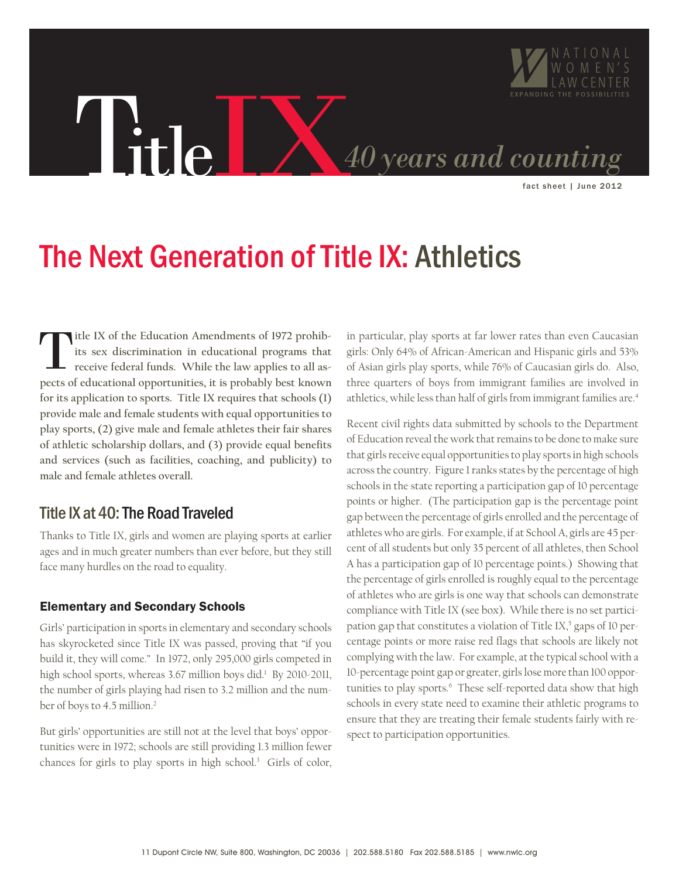

# The Next Generation of Title IX: Athletics

**itle IX of the Education Amendments of 1972 prohibits sex discrimination in educational programs that receive federal funds. While the law applies to all aspects of educational opportunities, it is probably best known for its application to sports. Title IX requires that schools (1) provide male and female students with equal opportunities to play sports, (2) give male and female athletes their fair shares of athletic scholarship dollars, and (3) provide equal benefits and services (such as facilities, coaching, and publicity) to male and female athletes overall.**  T

### Title IX at 40: The Road Traveled

Thanks to Title IX, girls and women are playing sports at earlier ages and in much greater numbers than ever before, but they still face many hurdles on the road to equality.

#### Elementary and Secondary Schools

Girls' participation in sports in elementary and secondary schools has skyrocketed since Title IX was passed, proving that "if you build it, they will come." In 1972, only 295,000 girls competed in high school sports, whereas 3.67 million boys did.<sup>1</sup> By 2010-2011, the number of girls playing had risen to 3.2 million and the number of boys to 4.5 million.2

But girls' opportunities are still not at the level that boys' opportunities were in 1972; schools are still providing 1.3 million fewer chances for girls to play sports in high school.3 Girls of color, in particular, play sports at far lower rates than even Caucasian girls: Only 64% of African-American and Hispanic girls and 53% of Asian girls play sports, while 76% of Caucasian girls do. Also, three quarters of boys from immigrant families are involved in athletics, while less than half of girls from immigrant families are.<sup>4</sup>

Recent civil rights data submitted by schools to the Department of Education reveal the work that remains to be done to make sure that girls receive equal opportunities to play sports in high schools across the country. Figure 1 ranks states by the percentage of high schools in the state reporting a participation gap of 10 percentage points or higher. (The participation gap is the percentage point gap between the percentage of girls enrolled and the percentage of athletes who are girls. For example, if at School A, girls are 45 percent of all students but only 35 percent of all athletes, then School A has a participation gap of 10 percentage points.) Showing that the percentage of girls enrolled is roughly equal to the percentage of athletes who are girls is one way that schools can demonstrate compliance with Title IX (see box). While there is no set participation gap that constitutes a violation of Title IX, $5$  gaps of 10 percentage points or more raise red flags that schools are likely not complying with the law. For example, at the typical school with a 10-percentage point gap or greater, girls lose more than 100 opportunities to play sports.<sup>6</sup> These self-reported data show that high schools in every state need to examine their athletic programs to ensure that they are treating their female students fairly with respect to participation opportunities.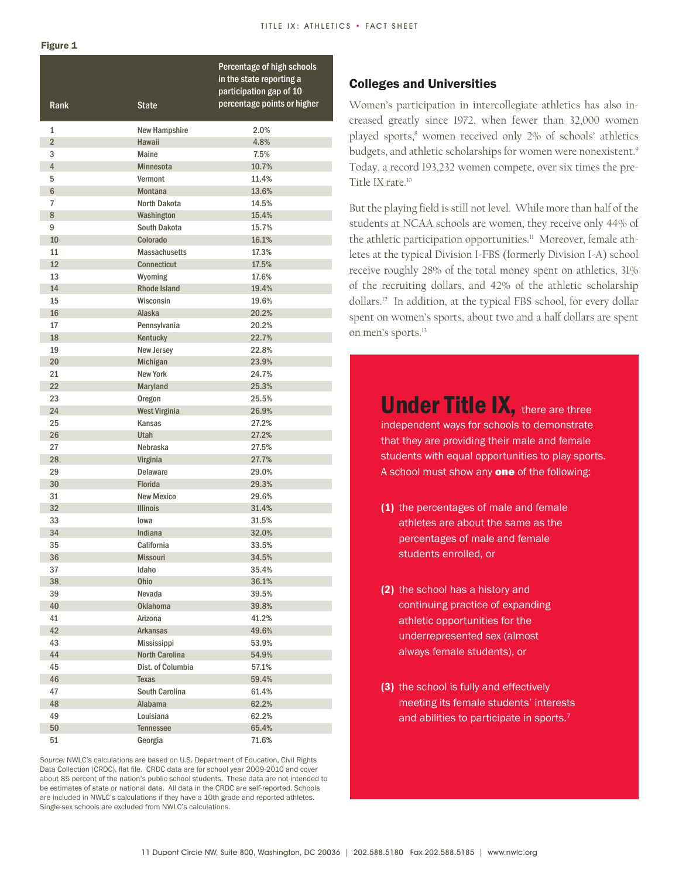#### Figure 1

| Rank                             | <b>State</b>                   | Percentage of high schools<br>in the state reporting a<br>participation gap of 10<br>percentage points or higher |
|----------------------------------|--------------------------------|------------------------------------------------------------------------------------------------------------------|
|                                  |                                | 2.0%                                                                                                             |
| $\mathbf{1}$                     | New Hampshire                  |                                                                                                                  |
| $\overline{2}$                   | <b>Hawaii</b>                  | 4.8%                                                                                                             |
| 3                                | Maine                          | 7.5%                                                                                                             |
| $\overline{4}$                   | <b>Minnesota</b>               | 10.7%                                                                                                            |
| 5                                | Vermont                        | 11.4%                                                                                                            |
| $6\phantom{1}$<br>$\overline{7}$ | <b>Montana</b><br>North Dakota | 13.6%                                                                                                            |
| 8                                |                                | 14.5%<br>15.4%                                                                                                   |
| 9                                | Washington<br>South Dakota     | 15.7%                                                                                                            |
| 10                               | Colorado                       | 16.1%                                                                                                            |
| 11                               | <b>Massachusetts</b>           | 17.3%                                                                                                            |
| 12                               | Connecticut                    | 17.5%                                                                                                            |
| 13                               | Wyoming                        | 17.6%                                                                                                            |
| 14                               | <b>Rhode Island</b>            | 19.4%                                                                                                            |
| 15                               | Wisconsin                      | 19.6%                                                                                                            |
| 16                               | Alaska                         | 20.2%                                                                                                            |
| 17                               | Pennsylvania                   | 20.2%                                                                                                            |
| 18                               | Kentucky                       | 22.7%                                                                                                            |
| 19                               | New Jersey                     | 22.8%                                                                                                            |
| 20                               | Michigan                       | 23.9%                                                                                                            |
| 21                               | <b>New York</b>                | 24.7%                                                                                                            |
| 22                               | Maryland                       | 25.3%                                                                                                            |
| 23                               | Oregon                         | 25.5%                                                                                                            |
| 24                               | <b>West Virginia</b>           | 26.9%                                                                                                            |
| 25                               | Kansas                         | 27.2%                                                                                                            |
| 26                               | Utah                           | 27.2%                                                                                                            |
| 27                               | Nebraska                       | 27.5%                                                                                                            |
| 28                               | Virginia                       | 27.7%                                                                                                            |
| 29                               | <b>Delaware</b>                | 29.0%                                                                                                            |
| 30                               | Florida                        | 29.3%                                                                                                            |
| 31                               | <b>New Mexico</b>              | 29.6%                                                                                                            |
| 32                               | <b>Illinois</b>                | 31.4%                                                                                                            |
| 33                               | lowa                           | 31.5%                                                                                                            |
| 34                               | Indiana                        | 32.0%                                                                                                            |
| 35                               | California                     | 33.5%                                                                                                            |
| 36                               | Missouri                       | 34.5%                                                                                                            |
| 37                               | Idaho                          | 35.4%                                                                                                            |
| 38                               | Ohio                           | 36.1%                                                                                                            |
| 39                               | Nevada                         | 39.5%                                                                                                            |
| 40                               | <b>Oklahoma</b>                | 39.8%                                                                                                            |
| 41                               | Arizona                        | 41.2%                                                                                                            |
| 42                               | <b>Arkansas</b>                | 49.6%                                                                                                            |
| 43                               | Mississippi                    | 53.9%                                                                                                            |
| 44                               | <b>North Carolina</b>          | 54.9%                                                                                                            |
| 45                               | Dist. of Columbia              | 57.1%                                                                                                            |
| 46                               | Texas                          | 59.4%                                                                                                            |
| 47                               | South Carolina                 | 61.4%                                                                                                            |
| 48                               | Alabama                        | 62.2%                                                                                                            |
| 49                               | Louisiana                      | 62.2%                                                                                                            |
| 50                               | <b>Tennessee</b>               | 65.4%                                                                                                            |
| 51                               | Georgia                        | 71.6%                                                                                                            |

*Source:* NWLC's calculations are based on U.S. Department of Education, Civil Rights Data Collection (CRDC), flat file. CRDC data are for school year 2009-2010 and cover about 85 percent of the nation's public school students. These data are not intended to be estimates of state or national data. All data in the CRDC are self-reported. Schools are included in NWLC's calculations if they have a 10th grade and reported athletes. Single-sex schools are excluded from NWLC's calculations.

#### Colleges and Universities

Women's participation in intercollegiate athletics has also increased greatly since 1972, when fewer than 32,000 women played sports,<sup>8</sup> women received only 2% of schools' athletics budgets, and athletic scholarships for women were nonexistent.<sup>9</sup> Today, a record 193,232 women compete, over six times the pre-Title IX rate.10

But the playing field is still not level. While more than half of the students at NCAA schools are women, they receive only 44% of the athletic participation opportunities.<sup>11</sup> Moreover, female athletes at the typical Division I-FBS (formerly Division I-A) school receive roughly 28% of the total money spent on athletics, 31% of the recruiting dollars, and 42% of the athletic scholarship dollars.12 In addition, at the typical FBS school, for every dollar spent on women's sports, about two and a half dollars are spent on men's sports.13

> Under Title IX, there are three independent ways for schools to demonstrate that they are providing their male and female students with equal opportunities to play sports. A school must show any **one** of the following:

- (1) the percentages of male and female athletes are about the same as the percentages of male and female students enrolled, or
- (2) the school has a history and continuing practice of expanding athletic opportunities for the underrepresented sex (almost always female students), or
- (3) the school is fully and effectively meeting its female students' interests and abilities to participate in sports.<sup>7</sup>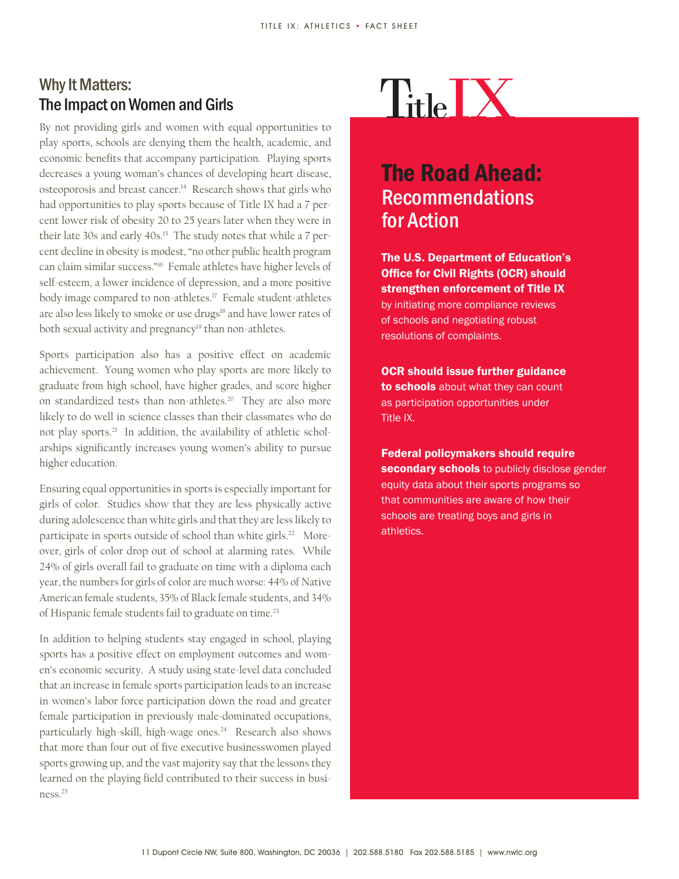### TitleIX Why It Matters: The Impact on Women and Girls

By not providing girls and women with equal opportunities to play sports, schools are denying them the health, academic, and economic benefits that accompany participation. Playing sports decreases a young woman's chances of developing heart disease, osteoporosis and breast cancer.14 Research shows that girls who had opportunities to play sports because of Title IX had a 7 percent lower risk of obesity 20 to 25 years later when they were in their late 30s and early 40s.<sup>15</sup> The study notes that while a 7 percent decline in obesity is modest, "no other public health program can claim similar success."16 Female athletes have higher levels of self-esteem, a lower incidence of depression, and a more positive body image compared to non-athletes.<sup>17</sup> Female student-athletes are also less likely to smoke or use drugs<sup>18</sup> and have lower rates of both sexual activity and pregnancy<sup>19</sup> than non-athletes.

Sports participation also has a positive effect on academic achievement. Young women who play sports are more likely to graduate from high school, have higher grades, and score higher on standardized tests than non-athletes.<sup>20</sup> They are also more likely to do well in science classes than their classmates who do not play sports.21 In addition, the availability of athletic scholarships significantly increases young women's ability to pursue higher education.

Ensuring equal opportunities in sports is especially important for girls of color. Studies show that they are less physically active during adolescence than white girls and that they are less likely to participate in sports outside of school than white girls.<sup>22</sup> Moreover, girls of color drop out of school at alarming rates. While 24% of girls overall fail to graduate on time with a diploma each year, the numbers for girls of color are much worse: 44% of Native American female students, 35% of Black female students, and 34% of Hispanic female students fail to graduate on time.<sup>23</sup>

In addition to helping students stay engaged in school, playing sports has a positive effect on employment outcomes and women's economic security. A study using state-level data concluded that an increase in female sports participation leads to an increase in women's labor force participation down the road and greater female participation in previously male-dominated occupations, particularly high-skill, high-wage ones.<sup>24</sup> Research also shows that more than four out of five executive businesswomen played sports growing up, and the vast majority say that the lessons they learned on the playing field contributed to their success in business.25

## The Road Ahead: **Recommendations** for Action

The U.S. Department of Education's Office for Civil Rights (OCR) should strengthen enforcement of Title IX by initiating more compliance reviews of schools and negotiating robust resolutions of complaints.

OCR should issue further guidance to schools about what they can count as participation opportunities under Title IX.

Federal policymakers should require secondary schools to publicly disclose gender equity data about their sports programs so that communities are aware of how their schools are treating boys and girls in athletics.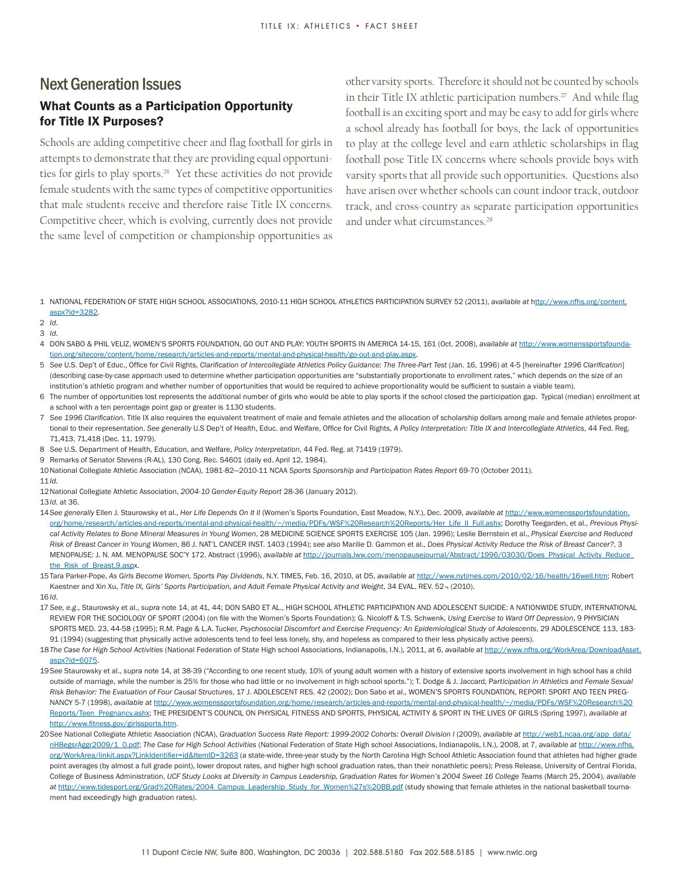#### Next Generation Issues What Counts as a Participation Opportunity for Title IX Purposes?

Schools are adding competitive cheer and flag football for girls in attempts to demonstrate that they are providing equal opportunities for girls to play sports.<sup>26</sup> Yet these activities do not provide female students with the same types of competitive opportunities that male students receive and therefore raise Title IX concerns. Competitive cheer, which is evolving, currently does not provide the same level of competition or championship opportunities as

other varsity sports. Therefore it should not be counted by schools in their Title IX athletic participation numbers.<sup>27</sup> And while flag football is an exciting sport and may be easy to add for girls where a school already has football for boys, the lack of opportunities to play at the college level and earn athletic scholarships in flag football pose Title IX concerns where schools provide boys with varsity sports that all provide such opportunities. Questions also have arisen over whether schools can count indoor track, outdoor track, and cross-country as separate participation opportunities and under what circumstances.<sup>28</sup>

1 NATIONAL FEDERATION OF STATE HIGH SCHOOL ASSOCIATIONS, 2010-11 HIGH SCHOOL ATHLETICS PARTICIPATION SURVEY 52 (2011), *available at* http://www.nfhs.org/content. aspx?id=3282.

- 7 *See 1996 Clarification*. Title IX also requires the equivalent treatment of male and female athletes and the allocation of scholarship dollars among male and female athletes proportional to their representation. *See generally* U.S Dep't of Health, Educ. and Welfare, Office for Civil Rights, *A Policy Interpretation: Title IX and Intercollegiate Athletics*, 44 Fed. Reg. 71,413, 71,418 (Dec. 11, 1979).
- 8 *See* U.S. Department of Health, Education, and Welfare, *Policy Interpretation*, 44 Fed. Reg. at 71419 (1979).
- 9 Remarks of Senator Stevens (R-AL), 130 Cong. Rec. S4601 (daily ed. April 12, 1984).
- 10National Collegiate Athletic Association (NCAA), 1981-82—2010-11 NCAA *Sports Sponsorship and Participation Rates Report* 69-70 (October 2011).
- 11*Id*.
- 12National Collegiate Athletic Association, *2004-10 Gender-Equity Report* 28-36 (January 2012).

16 *Id*.

- 17 *See, e.g*., Staurowsky et al., *supra* note 14, at 41, 44; DON SABO ET AL., HIGH SCHOOL ATHLETIC PARTICIPATION AND ADOLESCENT SUICIDE: A NATIONWIDE STUDY, INTERNATIONAL REVIEW FOR THE SOCIOLOGY OF SPORT (2004) (on file with the Women's Sports Foundation); G. Nicoloff & T.S. Schwenk, *Using Exercise to Ward Off Depression*, 9 PHYSICIAN SPORTS MED. 23, 44-58 (1995); R.M. Page & L.A. Tucker, *Psychosocial Discomfort and Exercise Frequency: An Epidemiological Study of Adolescents*, 29 ADOLESCENCE 113, 183- 91 (1994) (suggesting that physically active adolescents tend to feel less lonely, shy, and hopeless as compared to their less physically active peers).
- 18*The Case for High School Activities* (National Federation of State High school Associations, Indianapolis, I.N.), 2011, at 6, *available at* http://www.nfhs.org/WorkArea/DownloadAsset. aspx?id=6075.
- 19 *See* Staurowsky et al., *supra* note 14, at 38-39 ("According to one recent study, 10% of young adult women with a history of extensive sports involvement in high school has a child outside of marriage, while the number is 25% for those who had little or no involvement in high school sports."); T. Dodge & J. Jaccard, P*articipation in Athletics and Female Sexual Risk Behavior: The Evaluation of Four Causal Structures*, 17 J. ADOLESCENT RES. 42 (2002); Don Sabo et al., WOMEN'S SPORTS FOUNDATION, REPORT: SPORT AND TEEN PREG-NANCY 5-7 (1998), *available at* http://www.womenssportsfoundation.org/home/research/articles-and-reports/mental-and-physical-health/~/media/PDFs/WSF%20Research%20 Reports/Teen\_Pregnancy.ashx; THE PRESIDENT'S COUNCIL ON PHYSICAL FITNESS AND SPORTS, PHYSICAL ACTIVITY & SPORT IN THE LIVES OF GIRLS (Spring 1997), *available at*  http://www.fitness.gov/girlssports.htm.
- 20*See* National Collegiate Athletic Association (NCAA), Graduation Success Rate Report: 1999-2002 Cohorts: Overall Division I (2009), *available at* http://web1.ncaa.org/app\_data/ nH8egsrAggr2009/1\_0.pdf; *The Case for High School Activities* (National Federation of State High school Associations, Indianapolis, I.N.), 2008, at 7, *available at* http://www.nfhs. org/WorkArea/linkit.aspx?LinkIdentifier=id&ItemID=3263 (a state-wide, three-year study by the North Carolina High School Athletic Association found that athletes had higher grade point averages (by almost a full grade point), lower dropout rates, and higher high school graduation rates, than their nonathletic peers); Press Release, University of Central Florida, College of Business Administration, *UCF Study Looks at Diversity in Campus Leadership, Graduation Rates for Women's 2004 Sweet 16 College Teams* (March 25, 2004), *available at* http://www.tidesport.org/Grad%20Rates/2004\_Campus\_Leadership\_Study\_for\_Women%27s%20BB.pdf (study showing that female athletes in the national basketball tournament had exceedingly high graduation rates).

<sup>2</sup> *Id*.

<sup>3</sup> *Id*.

<sup>4</sup> DON SABO & PHIL VELIZ, WOMEN'S SPORTS FOUNDATION, GO OUT AND PLAY: YOUTH SPORTS IN AMERICA 14-15, 161 (Oct. 2008), *available at* http://www.womenssportsfoundation.org/sitecore/content/home/research/articles-and-reports/mental-and-physical-health/go-out-and-play.aspx.

<sup>5</sup> *See* U.S. Dep't of Educ., Office for Civil Rights, *Clarification of Intercollegiate Athletics Policy Guidance: The Three-Part Test* (Jan. 16, 1996) at 4-5 [hereinafter *1996 Clarification*] (describing case-by-case approach used to determine whether participation opportunities are "substantially proportionate to enrollment rates," which depends on the size of an institution's athletic program and whether number of opportunities that would be required to achieve proportionality would be sufficient to sustain a viable team).

<sup>6</sup> The number of opportunities lost represents the additional number of girls who would be able to play sports if the school closed the participation gap. Typical (median) enrollment at a school with a ten percentage point gap or greater is 1130 students.

<sup>13</sup>*Id*. at 36.

<sup>14</sup>*See generally* Ellen J. Staurowsky et al., *Her Life Depends On It II* (Women's Sports Foundation, East Meadow, N.Y.), Dec. 2009, *available at* http://www.womenssportsfoundation. org/home/research/articles-and-reports/mental-and-physical-health/~/media/PDFs/WSF%20Research%20Reports/Her\_Life\_II\_Full.ashx; Dorothy Teegarden, et al., *Previous Physical Activity Relates to Bone Mineral Measures in Young Women*, 28 MEDICINE SCIENCE SPORTS EXERCISE 105 (Jan. 1996); Leslie Bernstein et al., *Physical Exercise and Reduced Risk of Breast Cancer in Young Women*, 86 J. NAT'L CANCER INST. 1403 (1994); *see also* Marilie D. Gammon et al., *Does Physical Activity Reduce the Risk of Breast Cancer?*, 3 MENOPAUSE: J. N. AM. MENOPAUSE SOC'Y 172, Abstract (1996), *available at* http://journals.lww.com/menopausejournal/Abstract/1996/03030/Does\_Physical\_Activity\_Reduce\_ the\_Risk\_of\_Breast.9.aspx.

<sup>15</sup>Tara Parker-Pope, *As Girls Become Women, Sports Pay Dividends*, N.Y. TIMES, Feb. 16, 2010, at D5, *available at* http://www.nytimes.com/2010/02/16/health/16well.htm; Robert Kaestner and Xin Xu, Title IX, Girls' Sports Participation, and Adult Female Physical Activity and Weight, 34 EVAL. REV. 52- (2010).